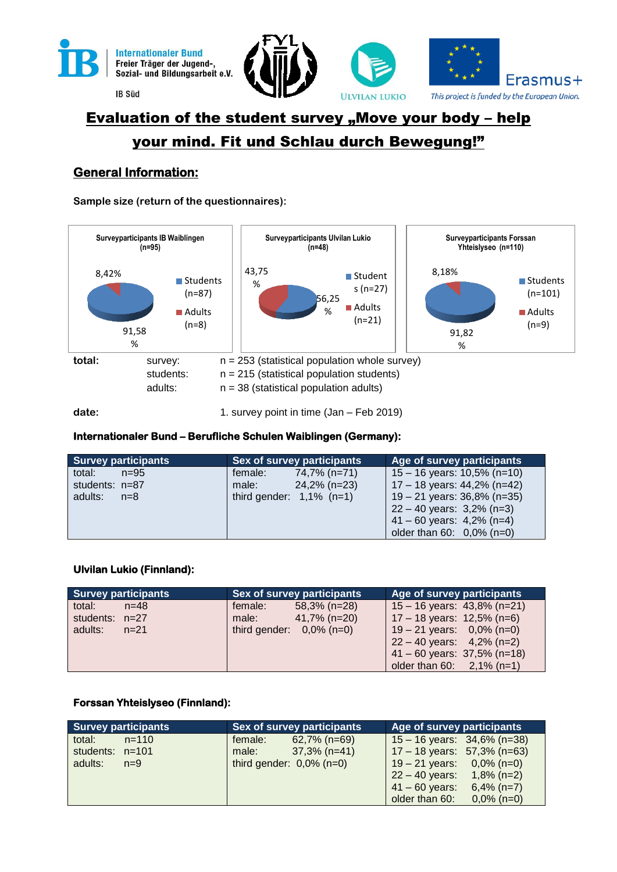

**IB Süd** 





# Evaluation of the student survey "Move your body – help your mind. Fit und Schlau durch Bewegung!"

### **General Information:**

**Sample size (return of the questionnaires):**



#### **Internationaler Bund – Berufliche Schulen Waiblingen (Germany):**

| <b>Survey participants</b> | Sex of survey participants  | Age of survey participants     |
|----------------------------|-----------------------------|--------------------------------|
| total:<br>$n = 95$         | 74,7% (n=71)<br>female:     | 15 – 16 years: 10,5% (n=10)    |
| students: $n=87$           | 24,2% (n=23)<br>male:       | 17 – 18 years: $44,2\%$ (n=42) |
| adults:<br>$n=8$           | third gender: $1,1\%$ (n=1) | $19 - 21$ years: 36,8% (n=35)  |
|                            |                             | $22 - 40$ years: 3,2% (n=3)    |
|                            |                             | $41 - 60$ years: $4,2\%$ (n=4) |
|                            |                             | older than $60: 0,0\%$ (n=0)   |

#### **Ulvilan Lukio (Finnland):**

| <b>Survey participants</b> | <b>Sex of survey participants</b> | Age of survey participants     |
|----------------------------|-----------------------------------|--------------------------------|
| total:<br>$n = 48$         | $58,3\%$ (n=28)<br>female:        | 15 - 16 years: $43,8\%$ (n=21) |
| students: $n=27$           | $41,7\%$ (n=20)<br>male:          | 17 – 18 years: 12,5% (n=6)     |
| adults:<br>$n=21$          | third gender: $0.0\%$ (n=0)       | $19 - 21$ years: 0,0% (n=0)    |
|                            |                                   | $22 - 40$ years: $4,2\%$ (n=2) |
|                            |                                   | $41 - 60$ years: 37,5% (n=18)  |
|                            |                                   | older than $60: 2,1\%$ (n=1)   |

#### **Forssan Yhteislyseo (Finnland):**

| <b>Survey participants</b> | <b>Sex of survey participants</b> | Age of survey participants        |
|----------------------------|-----------------------------------|-----------------------------------|
| total:<br>$n = 110$        | $62,7\%$ (n=69)<br>female:        | $15 - 16$ years: $34,6\%$ (n=38)  |
| students: $n=101$          | $37,3\%$ (n=41)<br>male:          | $17 - 18$ years: 57,3% (n=63)     |
| adults:<br>$n=9$           | third gender: $0.0\%$ (n=0)       | $19 - 21$ years: 0,0% (n=0)       |
|                            |                                   | $1,8\%$ (n=2)<br>$22 - 40$ years: |
|                            |                                   | $6,4\%$ (n=7)<br>$41 - 60$ years: |
|                            |                                   | older than 60:<br>$0,0\%$ (n=0)   |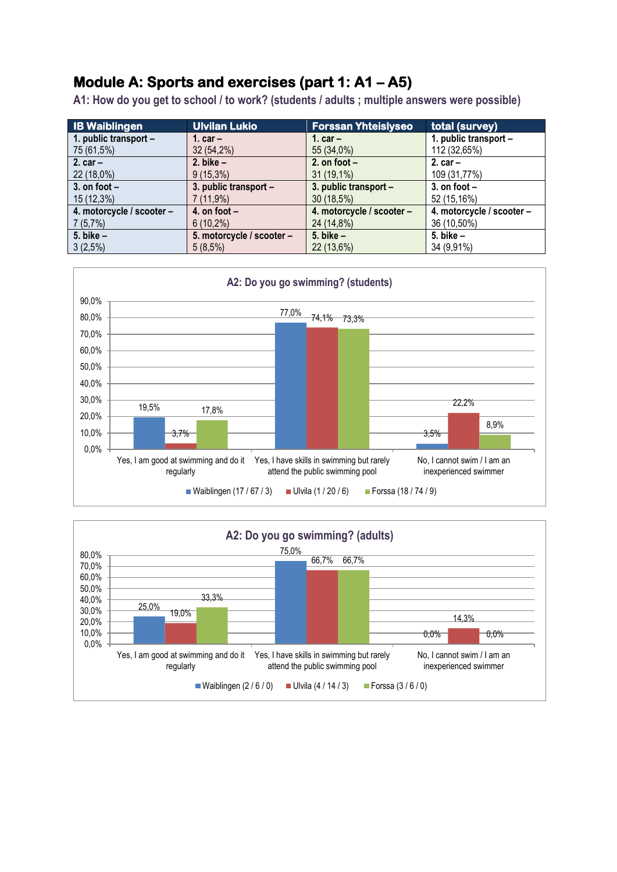### **Module A: Sports and exercises (part 1: A1 – A5)**

**A1: How do you get to school / to work? (students / adults ; multiple answers were possible)**

| <b>IB Waiblingen</b>      | <b>Ulvilan Lukio</b>      | <b>Forssan Yhteislyseo</b> | total (survey)            |
|---------------------------|---------------------------|----------------------------|---------------------------|
| 1. public transport -     | 1. $car -$                | 1. $car -$                 | 1. public transport -     |
| 75 (61,5%)                | $32(54,2\%)$              | 55 (34,0%)                 | 112 (32,65%)              |
| 2. $car -$                | 2. bike $-$               | 2. on foot $-$             | 2. $car -$                |
| 22 (18,0%)                | $9(15,3\%)$               | $31(19,1\%)$               | 109 (31,77%)              |
| 3. on foot $-$            | 3. public transport -     | 3. public transport -      | 3. on foot $-$            |
| 15 (12,3%)                | 7 (11,9%)                 | 30 (18,5%)                 | 52 (15,16%)               |
| 4. motorcycle / scooter - | 4. on foot $-$            | 4. motorcycle / scooter -  | 4. motorcycle / scooter - |
| 7(5,7%)                   | $6(10,2\%)$               | 24 (14,8%)                 | 36 (10,50%)               |
| $5.$ bike $-$             | 5. motorcycle / scooter - | 5. bike $-$                | 5. bike $-$               |
| 3(2,5%)                   | $5(8,5\%)$                | 22 (13,6%)                 | 34 (9,91%)                |



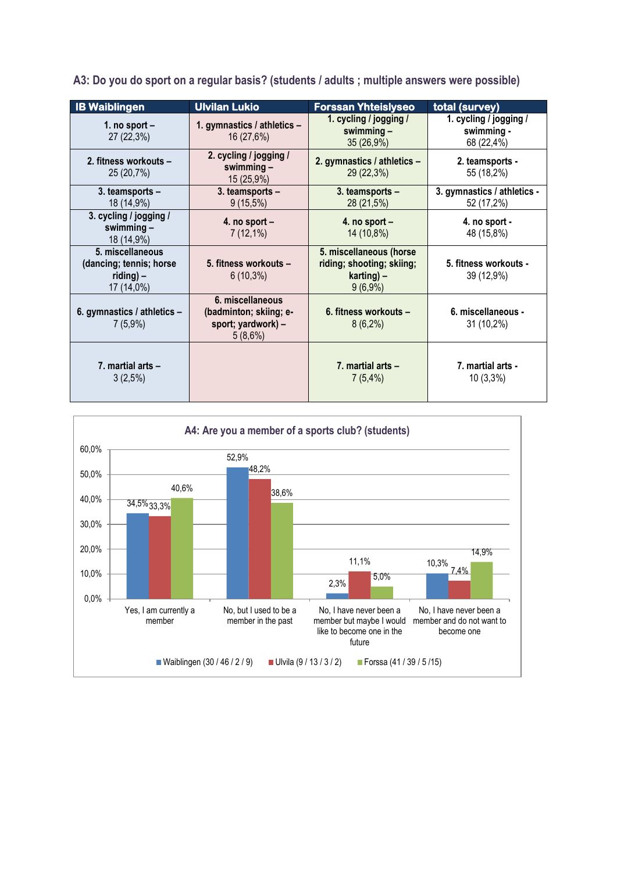| <b>IB Waiblingen</b>                                                      | <b>Ulvilan Lukio</b>                                                        | <b>Forssan Yhteislyseo</b>                                                          | total (survey)                                     |
|---------------------------------------------------------------------------|-----------------------------------------------------------------------------|-------------------------------------------------------------------------------------|----------------------------------------------------|
| 1. no sport $-$<br>27 (22,3%)                                             | 1. gymnastics / athletics -<br>16 (27,6%)                                   | 1. cycling / jogging /<br>swimming $-$<br>35 (26,9%)                                | 1. cycling / jogging /<br>swimming -<br>68 (22,4%) |
| 2. fitness workouts -<br>25 (20,7%)                                       | 2. cycling / jogging /<br>swimming $-$<br>15 (25,9%)                        | 2. gymnastics / athletics -<br>29 (22,3%)                                           | 2. teamsports -<br>55 (18,2%)                      |
| 3. teamsports -<br>18 (14,9%)                                             | 3. teamsports -<br>$9(15,5\%)$                                              | 3. teamsports -<br>28 (21,5%)                                                       | 3. gymnastics / athletics -<br>52 (17,2%)          |
| 3. cycling / jogging /<br>swimming $-$<br>18 (14,9%)                      | 4. no sport $-$<br>$7(12,1\%)$                                              | 4. no sport $-$<br>14 (10,8%)                                                       | 4. no sport -<br>48 (15,8%)                        |
| 5. miscellaneous<br>(dancing; tennis; horse<br>$riding$ ) –<br>17 (14,0%) | 5. fitness workouts -<br>$6(10,3\%)$                                        | 5. miscellaneous (horse<br>riding; shooting; skiing;<br>$karting$ ) –<br>$9(6,9\%)$ | 5. fitness workouts -<br>39 (12,9%)                |
| 6. gymnastics / athletics -<br>$7(5,9\%)$                                 | 6. miscellaneous<br>(badminton; skiing; e-<br>sport; yardwork) -<br>5(8,6%) | 6. fitness workouts -<br>$8(6,2\%)$                                                 | 6. miscellaneous -<br>31 (10,2%)                   |
| 7. martial arts $-$<br>$3(2,5\%)$                                         |                                                                             | 7. martial arts $-$<br>7(5,4%)                                                      | 7. martial arts -<br>$10(3,3\%)$                   |

**A3: Do you do sport on a regular basis? (students / adults ; multiple answers were possible)**

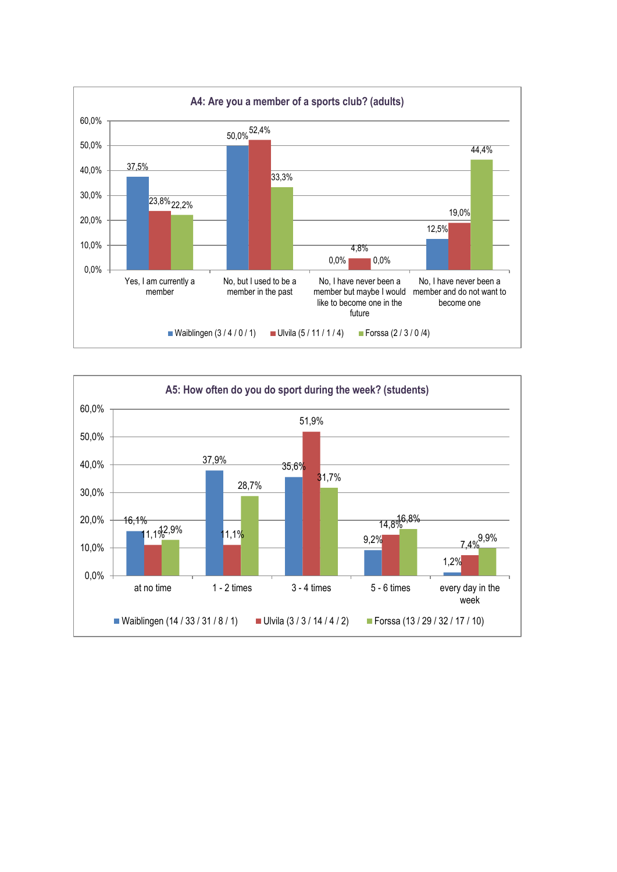

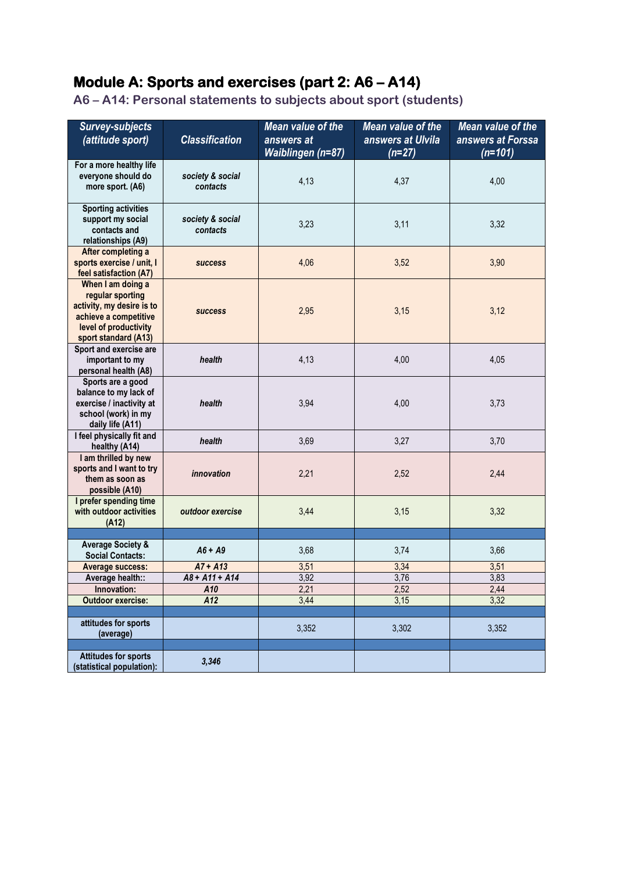## **Module A: Sports and exercises (part 2: A6 – A14)**

**A6 – A14: Personal statements to subjects about sport (students)**

| <b>Survey-subjects</b><br>(attitude sport)                                                                                                   | <b>Classification</b>        | <b>Mean value of the</b><br>answers at<br><b>Waiblingen (n=87)</b> | Mean value of the<br>answers at Ulvila<br>$(n=27)$ | Mean value of the<br>answers at Forssa<br>$(n=101)$ |
|----------------------------------------------------------------------------------------------------------------------------------------------|------------------------------|--------------------------------------------------------------------|----------------------------------------------------|-----------------------------------------------------|
| For a more healthy life<br>everyone should do<br>more sport. (A6)                                                                            | society & social<br>contacts | 4,13                                                               | 4,37                                               | 4,00                                                |
| <b>Sporting activities</b><br>support my social<br>contacts and<br>relationships (A9)                                                        | society & social<br>contacts | 3,23                                                               | 3,11                                               | 3,32                                                |
| After completing a<br>sports exercise / unit, I<br>feel satisfaction (A7)                                                                    | <b>success</b>               | 4,06                                                               | 3,52                                               | 3,90                                                |
| When I am doing a<br>regular sporting<br>activity, my desire is to<br>achieve a competitive<br>level of productivity<br>sport standard (A13) | <b>success</b>               | 2,95                                                               | 3,15                                               | 3,12                                                |
| Sport and exercise are<br>important to my<br>personal health (A8)                                                                            | health                       | 4,13                                                               | 4,00                                               | 4,05                                                |
| Sports are a good<br>balance to my lack of<br>exercise / inactivity at<br>school (work) in my<br>daily life (A11)                            | health                       | 3,94                                                               | 4,00                                               | 3,73                                                |
| I feel physically fit and<br>healthy (A14)                                                                                                   | health                       | 3,69                                                               | 3,27                                               | 3,70                                                |
| I am thrilled by new<br>sports and I want to try<br>them as soon as<br>possible (A10)                                                        | innovation                   | 2,21                                                               | 2,52                                               | 2,44                                                |
| I prefer spending time<br>with outdoor activities<br>(A12)                                                                                   | outdoor exercise             | 3,44                                                               | 3,15                                               | 3,32                                                |
|                                                                                                                                              |                              |                                                                    |                                                    |                                                     |
| <b>Average Society &amp;</b><br><b>Social Contacts:</b>                                                                                      | $A6 + A9$                    | 3,68                                                               | 3,74                                               | 3,66                                                |
| <b>Average success:</b>                                                                                                                      | $A7 + A13$                   | 3,51                                                               | 3,34                                               | 3,51                                                |
| Average health::                                                                                                                             | $A8 + A11 + A14$             | 3,92                                                               | 3,76                                               | 3,83                                                |
| Innovation:                                                                                                                                  | A10                          | 2,21                                                               | 2,52                                               | 2,44                                                |
| <b>Outdoor exercise:</b>                                                                                                                     | A12                          | 3,44                                                               | 3,15                                               | 3,32                                                |
| attitudes for sports<br>(average)                                                                                                            |                              | 3,352                                                              | 3,302                                              | 3,352                                               |
| <b>Attitudes for sports</b>                                                                                                                  |                              |                                                                    |                                                    |                                                     |
| (statistical population):                                                                                                                    | 3,346                        |                                                                    |                                                    |                                                     |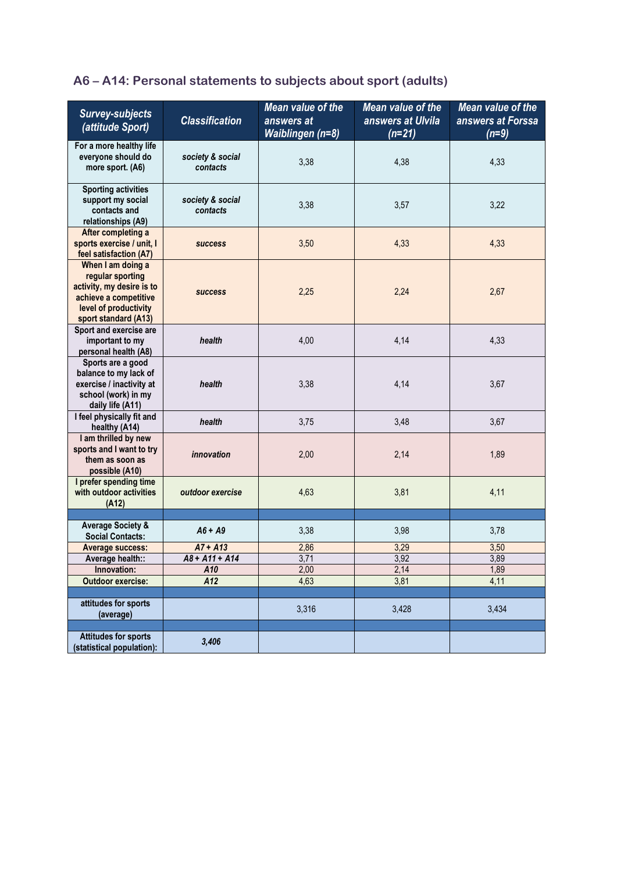## **A6 – A14: Personal statements to subjects about sport (adults)**

| <b>Survey-subjects</b><br>(attitude Sport)                                                                                                   | <b>Classification</b>        | Mean value of the<br>answers at<br>Waiblingen (n=8) | Mean value of the<br>answers at Ulvila<br>$(n=21)$ | Mean value of the<br>answers at Forssa<br>$(n=9)$ |
|----------------------------------------------------------------------------------------------------------------------------------------------|------------------------------|-----------------------------------------------------|----------------------------------------------------|---------------------------------------------------|
| For a more healthy life<br>everyone should do<br>more sport. (A6)                                                                            | society & social<br>contacts | 3,38                                                | 4,38                                               | 4,33                                              |
| <b>Sporting activities</b><br>support my social<br>contacts and<br>relationships (A9)                                                        | society & social<br>contacts | 3,38                                                | 3,57                                               | 3,22                                              |
| After completing a<br>sports exercise / unit, I<br>feel satisfaction (A7)                                                                    | <b>success</b>               | 3,50                                                | 4,33                                               | 4,33                                              |
| When I am doing a<br>regular sporting<br>activity, my desire is to<br>achieve a competitive<br>level of productivity<br>sport standard (A13) | <b>success</b>               | 2,25                                                | 2,24                                               | 2,67                                              |
| Sport and exercise are<br>important to my<br>personal health (A8)                                                                            | health                       | 4,00                                                | 4,14                                               | 4,33                                              |
| Sports are a good<br>balance to my lack of<br>exercise / inactivity at<br>school (work) in my<br>daily life (A11)                            | health                       | 3,38                                                | 4,14                                               | 3,67                                              |
| I feel physically fit and<br>healthy (A14)                                                                                                   | health                       | 3,75                                                | 3,48                                               | 3,67                                              |
| I am thrilled by new<br>sports and I want to try<br>them as soon as<br>possible (A10)                                                        | innovation                   | 2,00                                                | 2,14                                               | 1,89                                              |
| I prefer spending time<br>with outdoor activities<br>(A12)                                                                                   | outdoor exercise             | 4,63                                                | 3,81                                               | 4,11                                              |
| <b>Average Society &amp;</b>                                                                                                                 |                              |                                                     |                                                    |                                                   |
| <b>Social Contacts:</b>                                                                                                                      | $A6 + A9$                    | 3,38                                                | 3,98                                               | 3,78                                              |
| <b>Average success:</b>                                                                                                                      | $A7 + A13$                   | 2,86                                                | 3,29                                               | 3,50                                              |
| Average health::                                                                                                                             | $A8 + A11 + A14$             | 3,71                                                | 3,92                                               | 3,89                                              |
| Innovation:<br>Outdoor exercise:                                                                                                             | A10<br>A12                   | 2,00<br>4,63                                        | 2,14<br>3,81                                       | 1,89<br>4,11                                      |
|                                                                                                                                              |                              |                                                     |                                                    |                                                   |
| attitudes for sports<br>(average)                                                                                                            |                              | 3,316                                               | 3,428                                              | 3,434                                             |
| <b>Attitudes for sports</b><br>(statistical population):                                                                                     | 3,406                        |                                                     |                                                    |                                                   |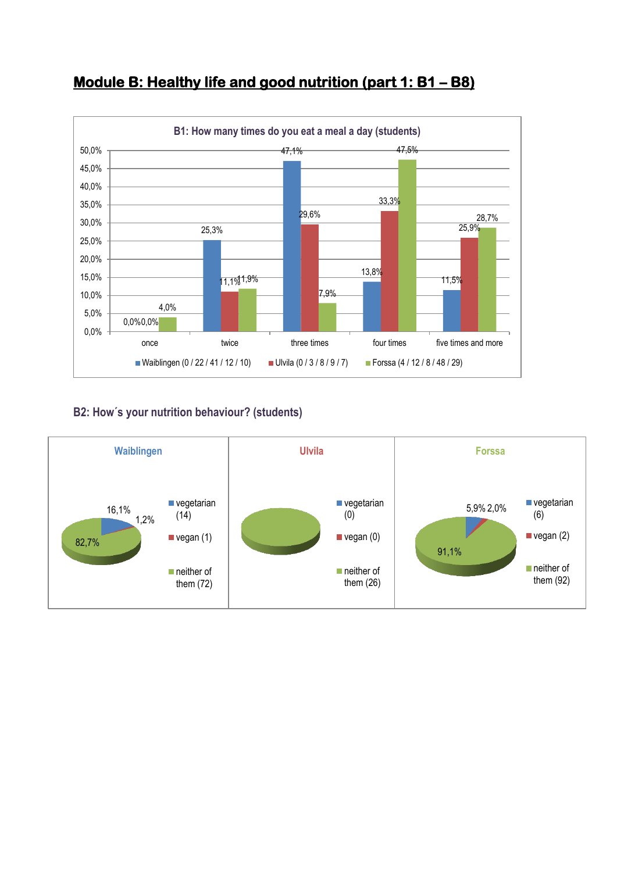

## **Module B: Healthy life and good nutrition (part 1: B1 – B8)**

### **B2: How´s your nutrition behaviour? (students)**

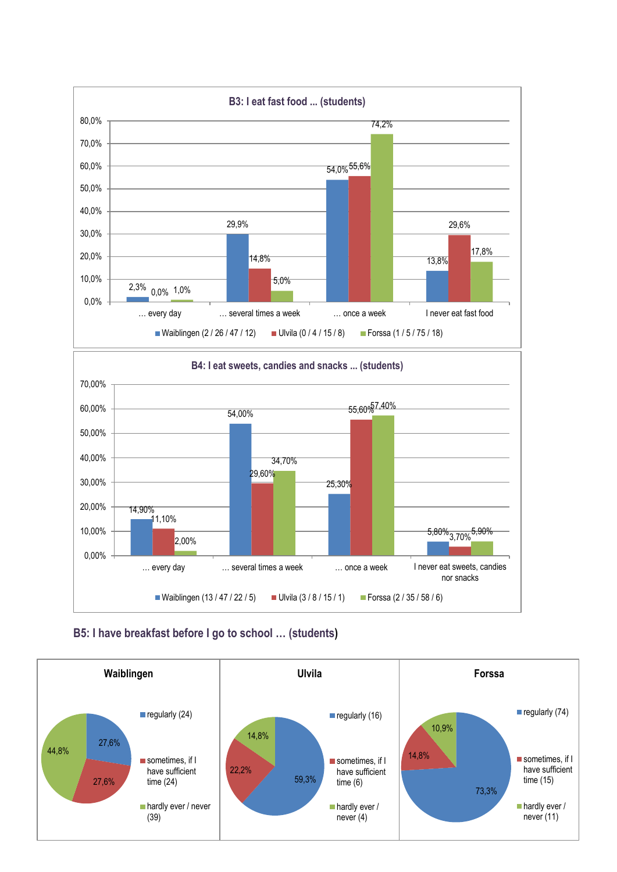



#### **B5: I have breakfast before I go to school … (students)**

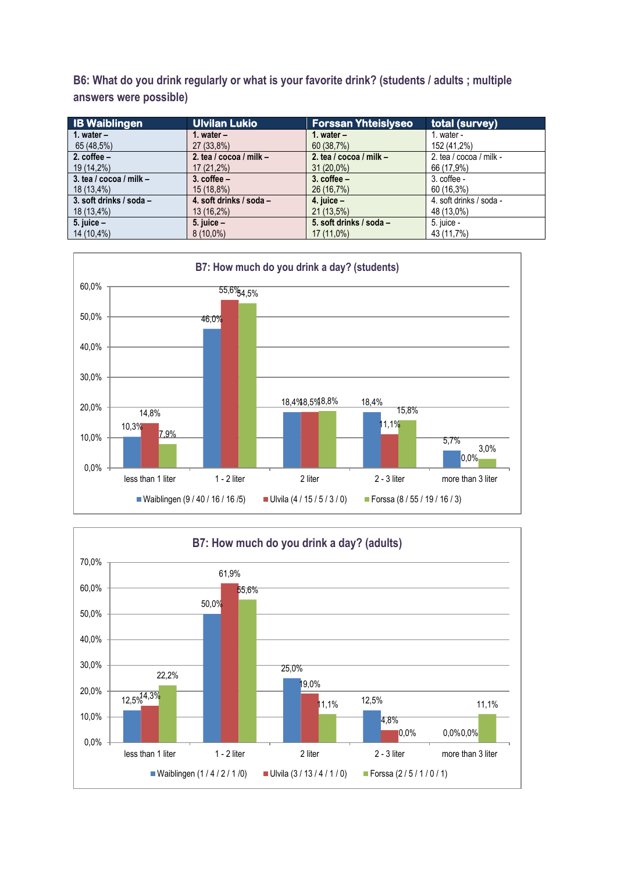**B6: What do you drink regularly or what is your favorite drink? (students / adults ; multiple answers were possible)**

| <b>IB Waiblingen</b>        | <b>Ulvilan Lukio</b>        | <b>Forssan Yhteislyseo</b>  | total (survey)          |
|-----------------------------|-----------------------------|-----------------------------|-------------------------|
| 1. water $-$                | 1. water $-$                | 1. water $-$                | 1. water -              |
| 65 (48,5%)                  | 27 (33,8%)                  | 60 (38,7%)                  | 152 (41,2%)             |
| 2. $cofree -$               | 2. tea / $cocoa /$ milk $-$ | 2. tea / $cocoa /$ milk $-$ | 2. tea / cocoa / milk - |
| 19 (14,2%)                  | $17(21,2\%)$                | $31(20,0\%)$                | 66 (17,9%)              |
| 3. tea / $cocoa /$ milk $-$ | $3.$ coffee $-$             | $3.$ coffee $-$             | $3.$ coffee -           |
| 18 (13,4%)                  | 15(18.8%)                   | 26 (16,7%)                  | 60 (16,3%)              |
| 3. soft drinks / soda -     | 4. soft drinks / soda -     | 4. juice $-$                | 4. soft drinks / soda - |
| 18 (13,4%)                  | $13(16.2\%)$                | $21(13,5\%)$                | 48 (13,0%)              |
| 5. juice $-$                | 5. juice $-$                | 5. soft drinks / soda -     | 5. juice -              |
| 14 (10,4%)                  | $8(10.0\%)$                 | $17(11,0\%)$                | 43 (11,7%)              |



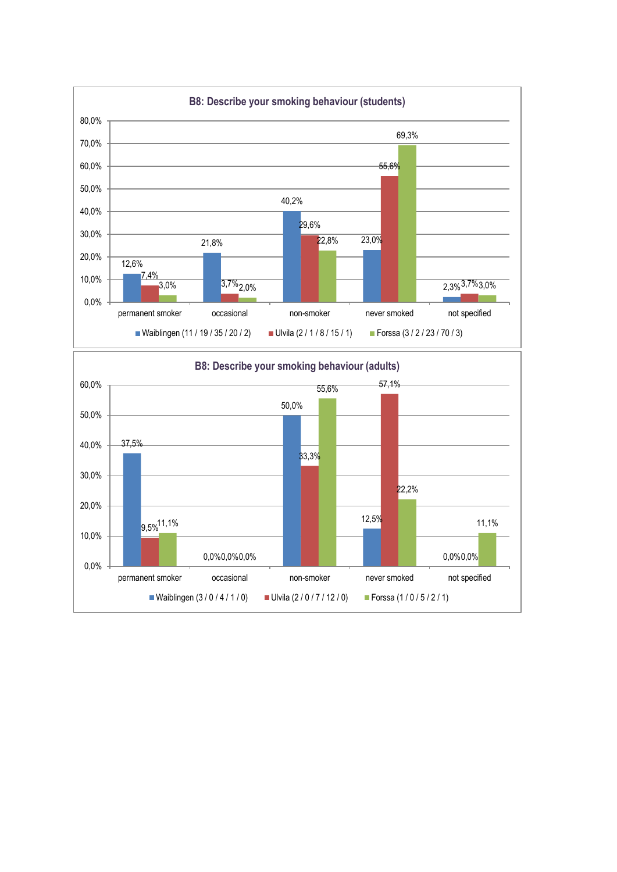

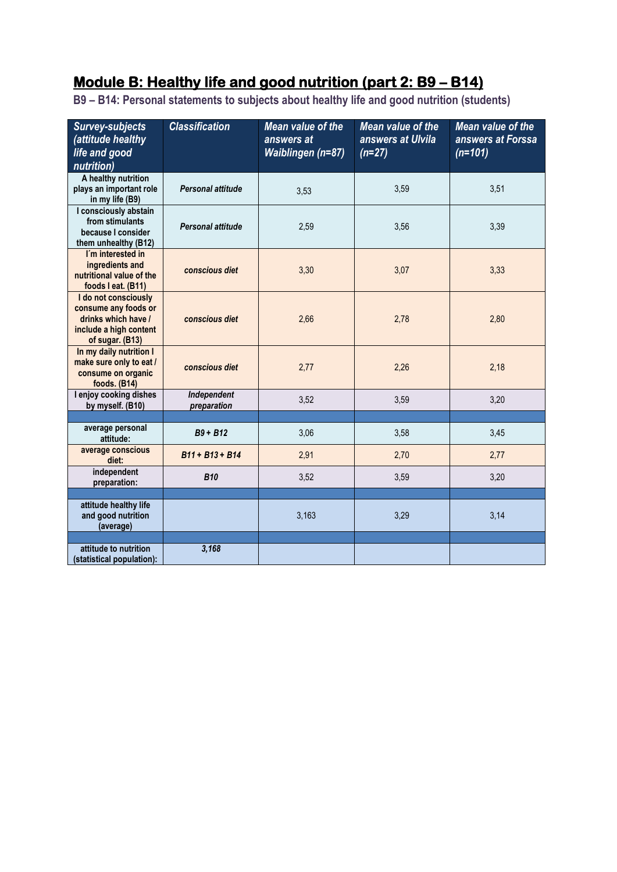# **Module B: Healthy life and good nutrition (part 2: B9 – B14)**

**B9 – B14: Personal statements to subjects about healthy life and good nutrition (students)**

| <b>Survey-subjects</b><br>(attitude healthy<br>life and good<br>nutrition)                                       | <b>Classification</b>      | Mean value of the<br>answers at<br>Waiblingen (n=87) | Mean value of the<br>answers at Ulvila<br>$(n=27)$ | <b>Mean value of the</b><br>answers at Forssa<br>$(n=101)$ |
|------------------------------------------------------------------------------------------------------------------|----------------------------|------------------------------------------------------|----------------------------------------------------|------------------------------------------------------------|
| A healthy nutrition<br>plays an important role<br>in my life (B9)                                                | Personal attitude          | 3,53                                                 | 3,59                                               | 3,51                                                       |
| I consciously abstain<br>from stimulants<br>because I consider<br>them unhealthy (B12)                           | Personal attitude          | 2,59                                                 | 3,56                                               | 3,39                                                       |
| I'm interested in<br>ingredients and<br>nutritional value of the<br>foods I eat. (B11)                           | conscious diet             | 3,30                                                 | 3,07                                               | 3,33                                                       |
| I do not consciously<br>consume any foods or<br>drinks which have /<br>include a high content<br>of sugar. (B13) | conscious diet             | 2,66                                                 | 2,78                                               | 2,80                                                       |
| In my daily nutrition I<br>make sure only to eat /<br>consume on organic<br>foods. (B14)                         | conscious diet             | 2,77                                                 | 2,26                                               | 2,18                                                       |
| I enjoy cooking dishes<br>by myself. (B10)                                                                       | Independent<br>preparation | 3,52                                                 | 3,59                                               | 3,20                                                       |
| average personal                                                                                                 |                            |                                                      |                                                    |                                                            |
| attitude:                                                                                                        | $B9 + B12$                 | 3,06                                                 | 3,58                                               | 3,45                                                       |
| average conscious<br>diet:                                                                                       | $B11 + B13 + B14$          | 2,91                                                 | 2,70                                               | 2,77                                                       |
| independent<br>preparation:                                                                                      | <b>B10</b>                 | 3,52                                                 | 3,59                                               | 3,20                                                       |
|                                                                                                                  |                            |                                                      |                                                    |                                                            |
| attitude healthy life<br>and good nutrition<br>(average)                                                         |                            | 3,163                                                | 3,29                                               | 3,14                                                       |
| attitude to nutrition                                                                                            | 3,168                      |                                                      |                                                    |                                                            |
| (statistical population):                                                                                        |                            |                                                      |                                                    |                                                            |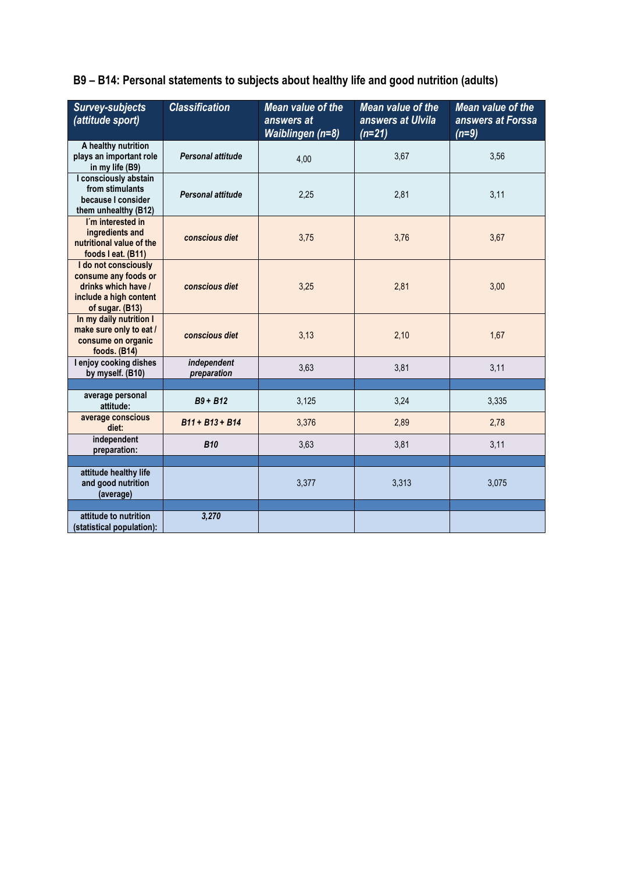**B9 – B14: Personal statements to subjects about healthy life and good nutrition (adults)**

| <b>Survey-subjects</b><br>(attitude sport)                                                                       | <b>Classification</b>      | Mean value of the<br>answers at<br>Waiblingen (n=8) | <b>Mean value of the</b><br>answers at Ulvila<br>$(n=21)$ | Mean value of the<br>answers at Forssa<br>$(n=9)$ |
|------------------------------------------------------------------------------------------------------------------|----------------------------|-----------------------------------------------------|-----------------------------------------------------------|---------------------------------------------------|
| A healthy nutrition<br>plays an important role<br>in my life (B9)                                                | Personal attitude          | 4,00                                                | 3,67                                                      | 3,56                                              |
| I consciously abstain<br>from stimulants<br>because I consider<br>them unhealthy (B12)                           | Personal attitude          | 2,25                                                | 2,81                                                      | 3,11                                              |
| I'm interested in<br>ingredients and<br>nutritional value of the<br>foods I eat. (B11)                           | conscious diet             | 3,75                                                | 3,76                                                      | 3,67                                              |
| I do not consciously<br>consume any foods or<br>drinks which have /<br>include a high content<br>of sugar. (B13) | conscious diet             | 3,25                                                | 2,81                                                      | 3,00                                              |
| In my daily nutrition I<br>make sure only to eat /<br>consume on organic<br>foods. $(B14)$                       | conscious diet             | 3,13                                                | 2,10                                                      | 1,67                                              |
| I enjoy cooking dishes<br>by myself. (B10)                                                                       | independent<br>preparation | 3,63                                                | 3,81                                                      | 3,11                                              |
| average personal<br>attitude:                                                                                    | $B9 + B12$                 | 3,125                                               | 3,24                                                      | 3,335                                             |
| average conscious<br>diet:                                                                                       | B11 + B13 + B14            | 3,376                                               | 2,89                                                      | 2,78                                              |
| independent<br>preparation:                                                                                      | <b>B10</b>                 | 3,63                                                | 3,81                                                      | 3,11                                              |
|                                                                                                                  |                            |                                                     |                                                           |                                                   |
| attitude healthy life<br>and good nutrition<br>(average)                                                         |                            | 3,377                                               | 3,313                                                     | 3,075                                             |
|                                                                                                                  |                            |                                                     |                                                           |                                                   |
| attitude to nutrition<br>(statistical population):                                                               | 3,270                      |                                                     |                                                           |                                                   |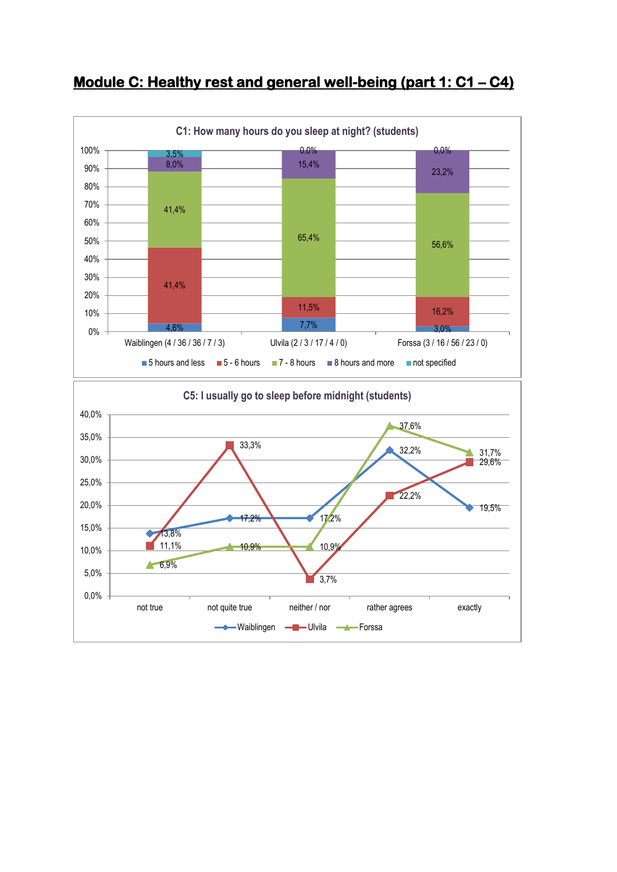

## **Module C: Healthy rest and general well-being (part 1: C1 - C4)**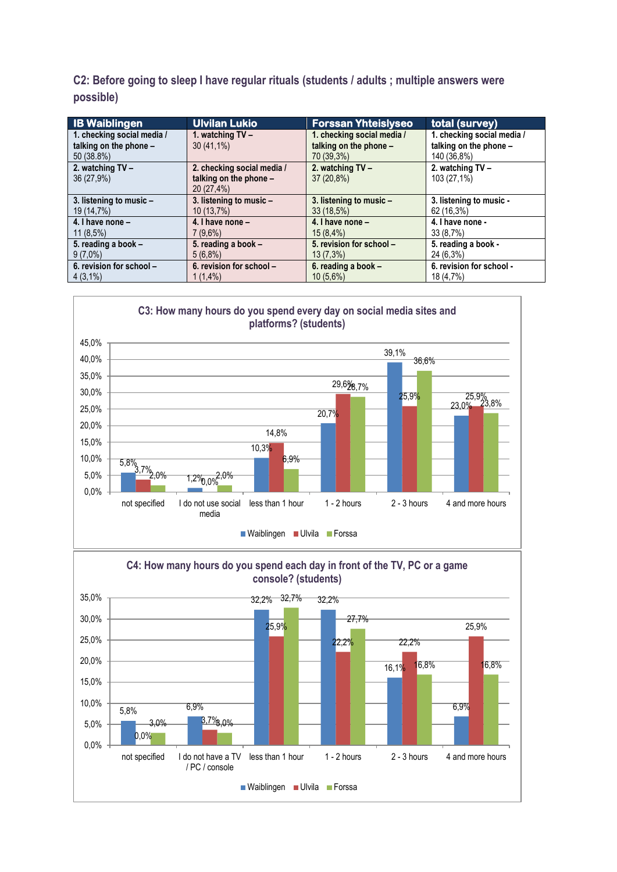**C2: Before going to sleep I have regular rituals (students / adults ; multiple answers were possible)**

| <b>IB Waiblingen</b>       | <b>Ulvilan Lukio</b>       | <b>Forssan Yhteislyseo</b> | total (survey)             |
|----------------------------|----------------------------|----------------------------|----------------------------|
| 1. checking social media / | 1. watching $TV -$         | 1. checking social media / | 1. checking social media / |
| talking on the phone -     | $30(41,1\%)$               | talking on the phone -     | talking on the phone -     |
| 50 (38.8%)                 |                            | 70 (39,3%)                 | 140 (36,8%)                |
| 2. watching TV -           | 2. checking social media / | 2. watching TV -           | 2. watching TV -           |
| 36 (27,9%)                 | talking on the phone -     | $37(20.8\%)$               | 103 (27,1%)                |
|                            | 20(27,4%)                  |                            |                            |
| 3. listening to music -    | 3. listening to music -    | 3. listening to music -    | 3. listening to music -    |
| 19 (14,7%)                 | 10(13,7%)                  | 33(18.5%)                  | 62 (16,3%)                 |
| 4. I have none -           | 4. I have none -           | 4. I have none -           | 4. I have none -           |
| $11(8.5\%)$                | $7(9.6\%)$                 | 15(8,4%)                   | 33(8.7%)                   |
| 5. reading a book -        | 5. reading a book -        | 5. revision for school -   | 5. reading a book -        |
| $9(7,0\%)$                 | $5(6.8\%)$                 | 13(7,3%)                   | 24 (6,3%)                  |
| 6. revision for school -   | 6. revision for school -   | 6. reading a book -        | 6. revision for school -   |
| $4(3,1\%)$                 | $1(1.4\%)$                 | $10(5,6\%)$                | 18 (4,7%)                  |



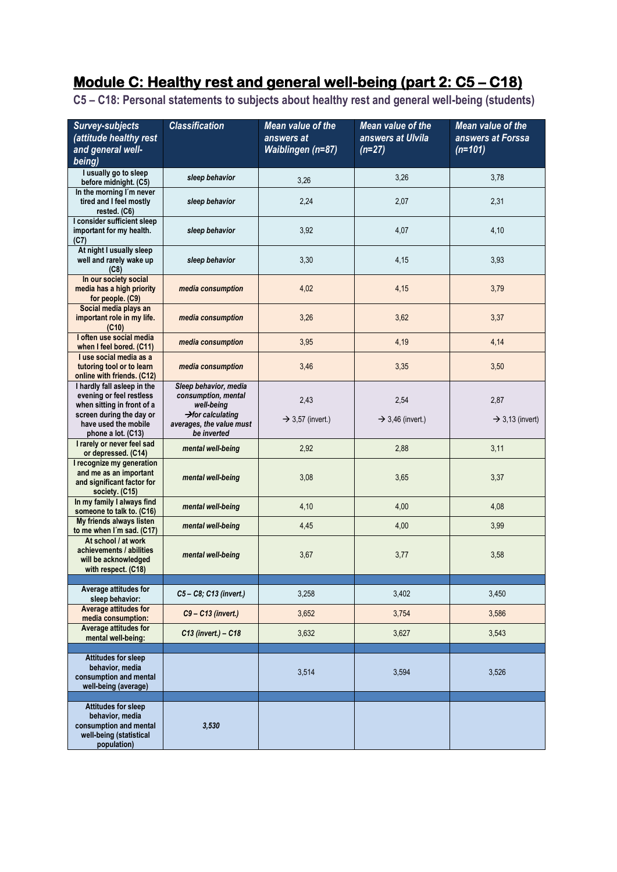# **Module C: Healthy rest and general well-being (part 2: C5 – C18)**

**C5 – C18: Personal statements to subjects about healthy rest and general well-being (students)**

| <b>Survey-subjects</b>                                                                                            | <b>Classification</b>                                                    | Mean value of the            | Mean value of the            | Mean value of the           |
|-------------------------------------------------------------------------------------------------------------------|--------------------------------------------------------------------------|------------------------------|------------------------------|-----------------------------|
| (attitude healthy rest                                                                                            |                                                                          | answers at                   | answers at Ulvila            | answers at Forssa           |
| and general well-                                                                                                 |                                                                          | Waiblingen (n=87)            | $(n=27)$                     | $(n=101)$                   |
| being)                                                                                                            |                                                                          |                              |                              |                             |
| I usually go to sleep<br>before midnight. (C5)                                                                    | sleep behavior                                                           | 3,26                         | 3,26                         | 3,78                        |
| In the morning I'm never<br>tired and I feel mostly<br>rested. (C6)                                               | sleep behavior                                                           | 2,24                         | 2,07                         | 2,31                        |
| I consider sufficient sleep<br>important for my health.<br>(C7)                                                   | sleep behavior                                                           | 3,92                         | 4,07                         | 4,10                        |
| At night I usually sleep<br>well and rarely wake up<br>(C8)                                                       | sleep behavior                                                           | 3,30                         | 4,15                         | 3,93                        |
| In our society social<br>media has a high priority<br>for people. (C9)                                            | media consumption                                                        | 4,02                         | 4,15                         | 3,79                        |
| Social media plays an<br>important role in my life.<br>(C10)                                                      | media consumption                                                        | 3,26                         | 3,62                         | 3,37                        |
| I often use social media<br>when I feel bored. (C11)                                                              | media consumption                                                        | 3,95                         | 4,19                         | 4,14                        |
| I use social media as a<br>tutoring tool or to learn<br>online with friends. (C12)                                | media consumption                                                        | 3,46                         | 3,35                         | 3,50                        |
| I hardly fall asleep in the<br>evening or feel restless<br>when sitting in front of a                             | Sleep behavior, media<br>consumption, mental<br>well-being               | 2,43                         | 2,54                         | 2,87                        |
| screen during the day or<br>have used the mobile<br>phone a lot. (C13)                                            | $\rightarrow$ for calculating<br>averages, the value must<br>be inverted | $\rightarrow$ 3,57 (invert.) | $\rightarrow$ 3,46 (invert.) | $\rightarrow$ 3,13 (invert) |
| I rarely or never feel sad<br>or depressed. (C14)                                                                 | mental well-being                                                        | 2,92                         | 2,88                         | 3,11                        |
| I recognize my generation<br>and me as an important<br>and significant factor for<br>society. (C15)               | mental well-being                                                        | 3,08                         | 3,65                         | 3,37                        |
| In my family I always find<br>someone to talk to. (C16)                                                           | mental well-being                                                        | 4,10                         | 4,00                         | 4,08                        |
| My friends always listen<br>to me when I'm sad. (C17)                                                             | mental well-being                                                        | 4,45                         | 4,00                         | 3,99                        |
| At school / at work<br>achievements / abilities<br>will be acknowledged<br>with respect. (C18)                    | mental well-being                                                        | 3,67                         | 3,77                         | 3,58                        |
| Average attitudes for                                                                                             |                                                                          |                              |                              |                             |
| sleep behavior:<br><b>Average attitudes for</b>                                                                   | C5-C8; C13 (invert.)                                                     | 3,258                        | 3,402                        | 3,450                       |
| media consumption:<br>Average attitudes for                                                                       | C9-C13 (invert.)                                                         | 3,652                        | 3,754                        | 3,586                       |
| mental well-being:                                                                                                | C13 (invert.) - C18                                                      | 3,632                        | 3,627                        | 3,543                       |
| <b>Attitudes for sleep</b><br>behavior, media<br>consumption and mental<br>well-being (average)                   |                                                                          | 3,514                        | 3,594                        | 3,526                       |
| <b>Attitudes for sleep</b><br>behavior, media<br>consumption and mental<br>well-being (statistical<br>population) | 3,530                                                                    |                              |                              |                             |